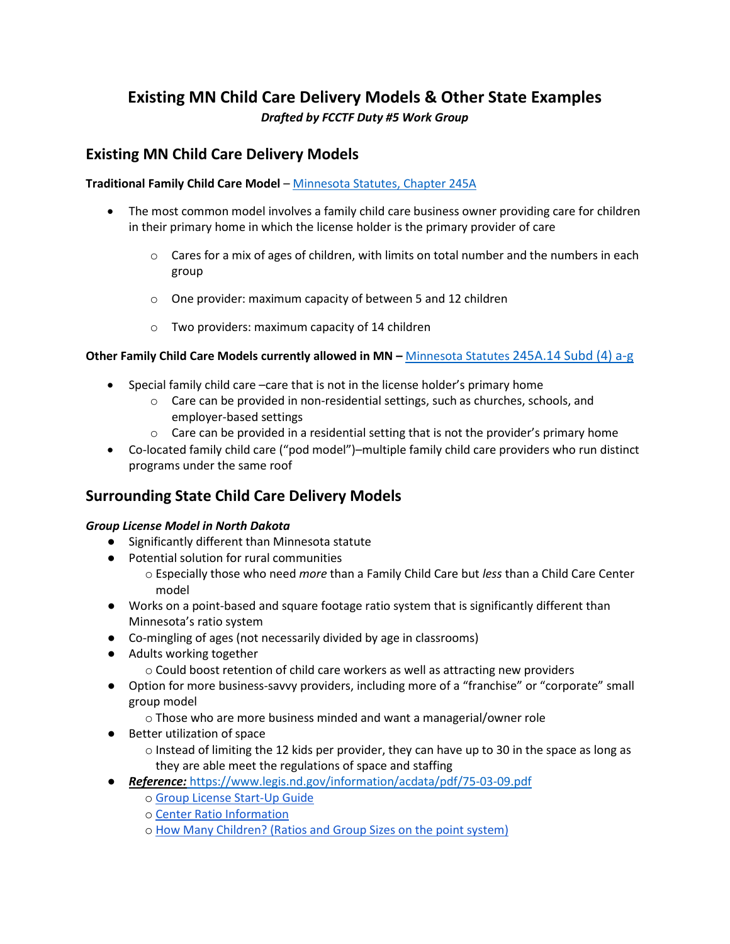# **Existing MN Child Care Delivery Models & Other State Examples** *Drafted by FCCTF Duty #5 Work Group*

### **Existing MN Child Care Delivery Models**

#### **Traditional Family Child Care Model** [– Minnesota Statutes, Chapter 245A](https://www.revisor.mn.gov/statutes/cite/245A)

- The most common model involves a family child care business owner providing care for children in their primary home in which the license holder is the primary provider of care
	- $\circ$  Cares for a mix of ages of children, with limits on total number and the numbers in each group
	- o One provider: maximum capacity of between 5 and 12 children
	- o Two providers: maximum capacity of 14 children

#### **Other Family Child Care Models currently allowed in MN –** Minnesota Statutes [245A.14 Subd \(4\) a-g](https://www.revisor.mn.gov/statutes/cite/245A.14)

- Special family child care –care that is not in the license holder's primary home
	- $\circ$  Care can be provided in non-residential settings, such as churches, schools, and employer-based settings
	- $\circ$  Care can be provided in a residential setting that is not the provider's primary home
- Co-located family child care ("pod model")–multiple family child care providers who run distinct programs under the same roof

## **Surrounding State Child Care Delivery Models**

#### *Group License Model in North Dakota*

- Significantly different than Minnesota statute
- Potential solution for rural communities
	- o Especially those who need *more* than a Family Child Care but *less* than a Child Care Center model
- Works on a point-based and square footage ratio system that is significantly different than Minnesota's ratio system
- Co-mingling of ages (not necessarily divided by age in classrooms)
- Adults working together
	- $\circ$  Could boost retention of child care workers as well as attracting new providers
- Option for more business-savvy providers, including more of a "franchise" or "corporate" small group model
	- o Those who are more business minded and want a managerial/owner role
- Better utilization of space
	- $\circ$  Instead of limiting the 12 kids per provider, they can have up to 30 in the space as long as they are able meet the regulations of space and staffing
- *Reference:* <https://www.legis.nd.gov/information/acdata/pdf/75-03-09.pdf>
	- o [Group License Start-Up Guide](https://ndchildcare.org/start/group/)
	- o [Center Ratio Information](https://ndchildcare.org/providers/staff.html)
	- o [How Many Children? \(Ratios and Group Sizes on the point system\)](https://ndchildcare.org/providers/business/ratios.html)